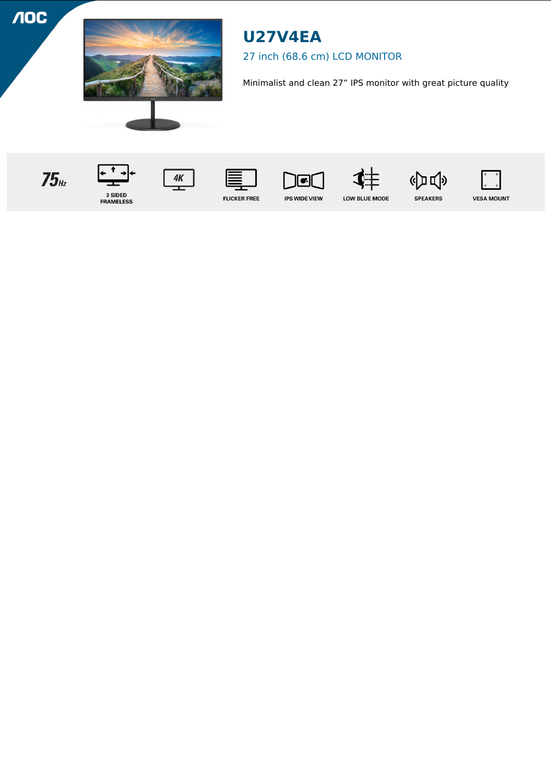**NOC** 



# **U27V4EA**

## 27 inch (68.6 cm) LCD MONITOR

Minimalist and clean 27" IPS monitor with great picture quality

 $75<sub>Hz</sub>$ 













**VESA MOUNT** 

3 SIDED<br>FRAMELESS



**IPS WIDE VIEW** 

LOW BLUE MODE

**SPEAKERS**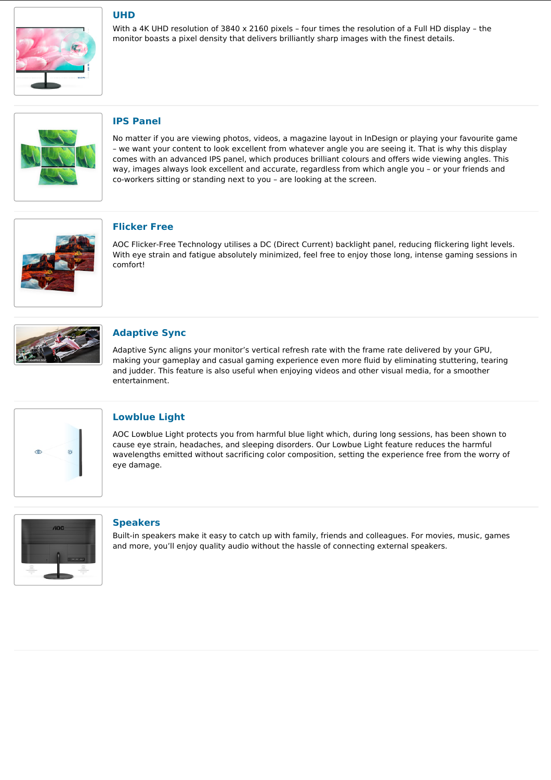

### **UHD**

With a 4K UHD resolution of 3840 x 2160 pixels – four times the resolution of a Full HD display – the monitor boasts a pixel density that delivers brilliantly sharp images with the finest details.



### **IPS Panel**

No matter if you are viewing photos, videos, a magazine layout in InDesign or playing your favourite game – we want your content to look excellent from whatever angle you are seeing it. That is why this display comes with an advanced IPS panel, which produces brilliant colours and offers wide viewing angles. This way, images always look excellent and accurate, regardless from which angle you – or your friends and co-workers sitting or standing next to you – are looking at the screen.



#### **Flicker Free**

AOC Flicker-Free Technology utilises a DC (Direct Current) backlight panel, reducing flickering light levels. With eye strain and fatigue absolutely minimized, feel free to enjoy those long, intense gaming sessions in comfort!



#### **Adaptive Sync**

Adaptive Sync aligns your monitor's vertical refresh rate with the frame rate delivered by your GPU, making your gameplay and casual gaming experience even more fluid by eliminating stuttering, tearing and judder. This feature is also useful when enjoying videos and other visual media, for a smoother entertainment.



#### **Lowblue Light**

AOC Lowblue Light protects you from harmful blue light which, during long sessions, has been shown to cause eye strain, headaches, and sleeping disorders. Our Lowbue Light feature reduces the harmful wavelengths emitted without sacrificing color composition, setting the experience free from the worry of eye damage.



#### **Speakers**

Built-in speakers make it easy to catch up with family, friends and colleagues. For movies, music, games and more, you'll enjoy quality audio without the hassle of connecting external speakers.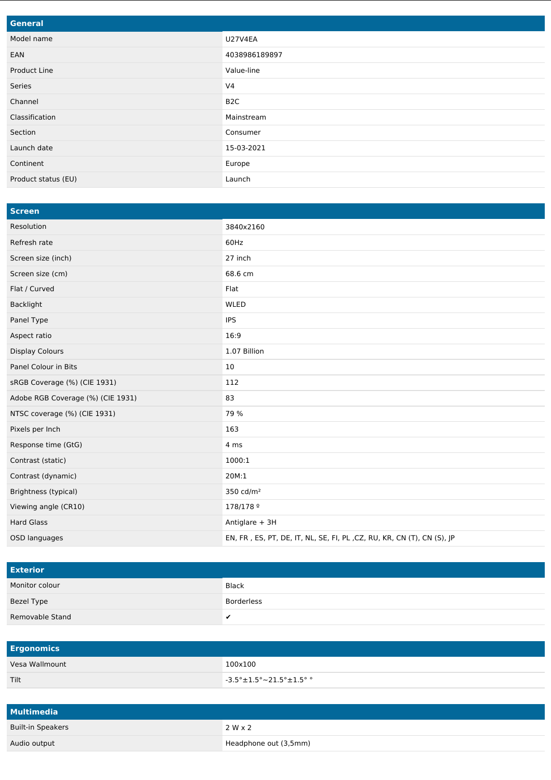| General             |                  |
|---------------------|------------------|
| Model name          | <b>U27V4EA</b>   |
| EAN                 | 4038986189897    |
| Product Line        | Value-line       |
| Series              | V <sub>4</sub>   |
| Channel             | B <sub>2</sub> C |
| Classification      | Mainstream       |
| Section             | Consumer         |
| Launch date         | 15-03-2021       |
| Continent           | Europe           |
| Product status (EU) | Launch           |

| <b>Screen</b>                     |                                                                        |
|-----------------------------------|------------------------------------------------------------------------|
| Resolution                        | 3840x2160                                                              |
| Refresh rate                      | 60Hz                                                                   |
| Screen size (inch)                | 27 inch                                                                |
| Screen size (cm)                  | 68.6 cm                                                                |
| Flat / Curved                     | Flat                                                                   |
| Backlight                         | <b>WLED</b>                                                            |
| Panel Type                        | <b>IPS</b>                                                             |
| Aspect ratio                      | 16:9                                                                   |
| <b>Display Colours</b>            | 1.07 Billion                                                           |
| Panel Colour in Bits              | 10                                                                     |
| sRGB Coverage (%) (CIE 1931)      | 112                                                                    |
| Adobe RGB Coverage (%) (CIE 1931) | 83                                                                     |
| NTSC coverage (%) (CIE 1931)      | 79 %                                                                   |
| Pixels per Inch                   | 163                                                                    |
| Response time (GtG)               | 4 ms                                                                   |
| Contrast (static)                 | 1000:1                                                                 |
| Contrast (dynamic)                | 20M:1                                                                  |
| Brightness (typical)              | 350 cd/m <sup>2</sup>                                                  |
| Viewing angle (CR10)              | 178/178 9                                                              |
| <b>Hard Glass</b>                 | Antiglare + 3H                                                         |
| OSD languages                     | EN, FR, ES, PT, DE, IT, NL, SE, FI, PL, CZ, RU, KR, CN (T), CN (S), JP |

| <b>Exterior</b> |              |
|-----------------|--------------|
| Monitor colour  | <b>Black</b> |
| Bezel Type      | Borderless   |
| Removable Stand | $\cdot$      |

| <b>Ergonomics</b> |                                                                             |
|-------------------|-----------------------------------------------------------------------------|
| Vesa Wallmount    | 100x100                                                                     |
| <b>Tilt</b>       | $-3.5^{\circ} \pm 1.5^{\circ} \sim 21.5^{\circ} \pm 1.5^{\circ}$ $^{\circ}$ |

| <b>Multimedia</b>        |                       |
|--------------------------|-----------------------|
| <b>Built-in Speakers</b> | $2 W \times 2$        |
| Audio output             | Headphone out (3,5mm) |